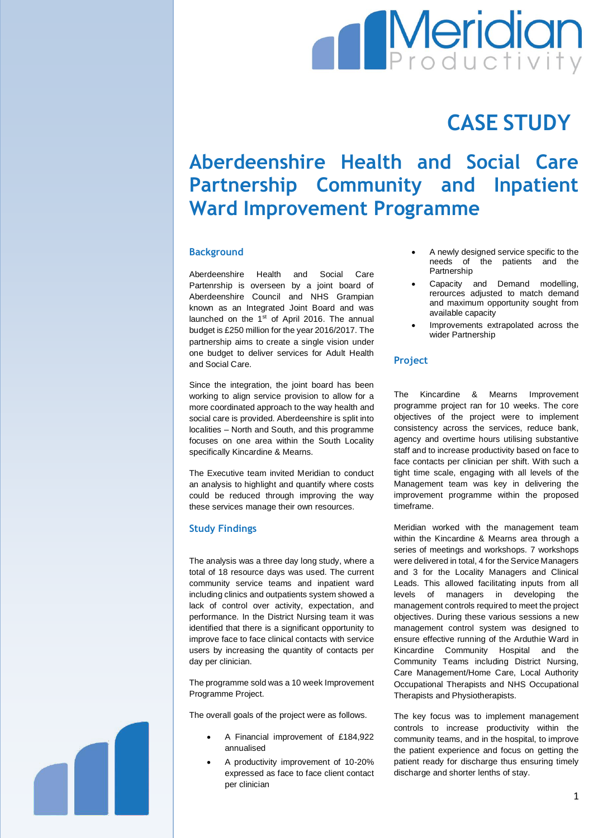# **Meridian**

## **CASE STUDY**

### **Aberdeenshire Health and Social Care Partnership Community and Inpatient Ward Improvement Programme**

#### **Background**

Aberdeenshire Health and Social Care Partenrship is overseen by a joint board of Aberdeenshire Council and NHS Grampian known as an Integrated Joint Board and was launched on the 1<sup>st</sup> of April 2016. The annual budget is £250 million for the year 2016/2017. The partnership aims to create a single vision under one budget to deliver services for Adult Health and Social Care.

Since the integration, the joint board has been working to align service provision to allow for a more coordinated approach to the way health and social care is provided. Aberdeenshire is split into localities – North and South, and this programme focuses on one area within the South Locality specifically Kincardine & Mearns.

The Executive team invited Meridian to conduct an analysis to highlight and quantify where costs could be reduced through improving the way these services manage their own resources.

#### **Study Findings**

The analysis was a three day long study, where a total of 18 resource days was used. The current community service teams and inpatient ward including clinics and outpatients system showed a lack of control over activity, expectation, and performance. In the District Nursing team it was identified that there is a significant opportunity to improve face to face clinical contacts with service users by increasing the quantity of contacts per day per clinician.

The programme sold was a 10 week Improvement Programme Project.

The overall goals of the project were as follows.

- A Financial improvement of £184,922 annualised
- A productivity improvement of 10-20% expressed as face to face client contact per clinician
- A newly designed service specific to the needs of the patients and the Partnership
- Capacity and Demand modelling, rerources adjusted to match demand and maximum opportunity sought from available capacity
- Improvements extrapolated across the wider Partnership

#### **Project**

The Kincardine & Mearns Improvement programme project ran for 10 weeks. The core objectives of the project were to implement consistency across the services, reduce bank, agency and overtime hours utilising substantive staff and to increase productivity based on face to face contacts per clinician per shift. With such a tight time scale, engaging with all levels of the Management team was key in delivering the improvement programme within the proposed timeframe.

Meridian worked with the management team within the Kincardine & Mearns area through a series of meetings and workshops. 7 workshops were delivered in total, 4 for the Service Managers and 3 for the Locality Managers and Clinical Leads. This allowed facilitating inputs from all levels of managers in developing the management controls required to meet the project objectives. During these various sessions a new management control system was designed to ensure effective running of the Arduthie Ward in Kincardine Community Hospital and the Community Teams including District Nursing, Care Management/Home Care, Local Authority Occupational Therapists and NHS Occupational Therapists and Physiotherapists.

The key focus was to implement management controls to increase productivity within the community teams, and in the hospital, to improve the patient experience and focus on getting the patient ready for discharge thus ensuring timely discharge and shorter lenths of stay.